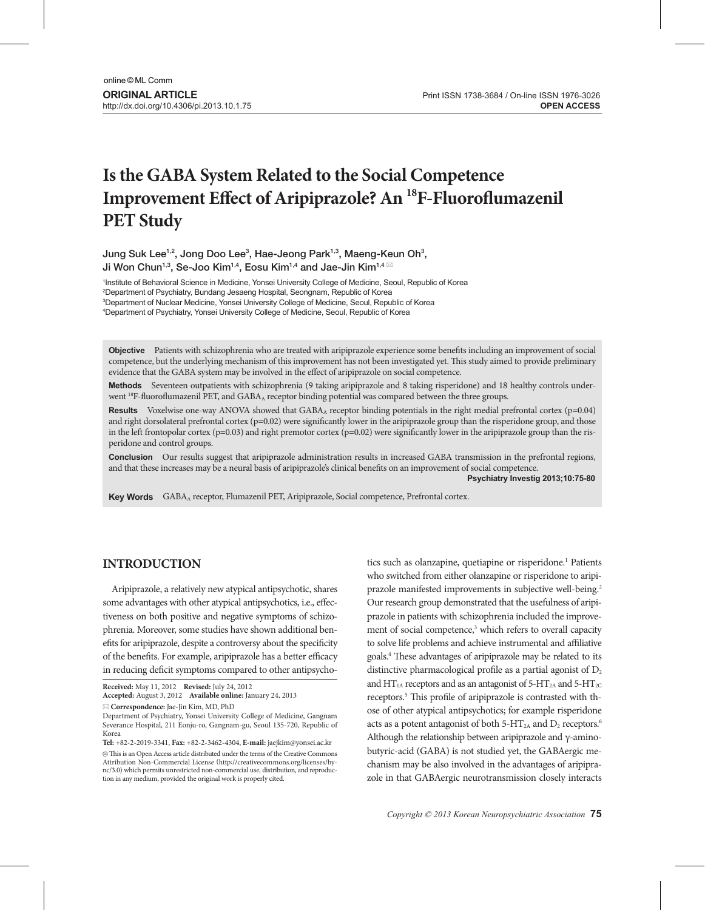# **Is the GABA System Related to the Social Competence Improvement Effect of Aripiprazole? An 18F-Fluoroflumazenil PET Study**

Jung Suk Lee<sup>1,2</sup>, Jong Doo Lee<sup>3</sup>, Hae-Jeong Park<sup>1,3</sup>, Maeng-Keun Oh<sup>3</sup>, Ji Won Chun<sup>1,3</sup>, Se-Joo Kim<sup>1,4</sup>, Eosu Kim<sup>1,4</sup> and Jae-Jin Kim<sup>1,4</sup> ⊠

1 Institute of Behavioral Science in Medicine, Yonsei University College of Medicine, Seoul, Republic of Korea

2 Department of Psychiatry, Bundang Jesaeng Hospital, Seongnam, Republic of Korea

3 Department of Nuclear Medicine, Yonsei University College of Medicine, Seoul, Republic of Korea

4 Department of Psychiatry, Yonsei University College of Medicine, Seoul, Republic of Korea

**Objective** Patients with schizophrenia who are treated with aripiprazole experience some benefits including an improvement of social competence, but the underlying mechanism of this improvement has not been investigated yet. This study aimed to provide preliminary evidence that the GABA system may be involved in the effect of aripiprazole on social competence.

Methods Seventeen outpatients with schizophrenia (9 taking aripiprazole and 8 taking risperidone) and 18 healthy controls underwent <sup>18</sup>F-fluoroflumazenil PET, and GABA<sub>A</sub> receptor binding potential was compared between the three groups.

**Results** Voxelwise one-way ANOVA showed that GABA<sub>A</sub> receptor binding potentials in the right medial prefrontal cortex ( $p=0.04$ ) and right dorsolateral prefrontal cortex (p=0.02) were significantly lower in the aripiprazole group than the risperidone group, and those in the left frontopolar cortex ( $p=0.03$ ) and right premotor cortex ( $p=0.02$ ) were significantly lower in the aripiprazole group than the risperidone and control groups.

**Conclusion** Our results suggest that aripiprazole administration results in increased GABA transmission in the prefrontal regions, and that these increases may be a neural basis of aripiprazole's clinical benefits on an improvement of social competence.

**Psychiatry Investig 2013;10:75-80**

**Key Words** GABA<sub>A</sub> receptor, Flumazenil PET, Aripiprazole, Social competence, Prefrontal cortex.

## **INTRODUCTION**

Aripiprazole, a relatively new atypical antipsychotic, shares some advantages with other atypical antipsychotics, i.e., effectiveness on both positive and negative symptoms of schizophrenia. Moreover, some studies have shown additional benefits for aripiprazole, despite a controversy about the specificity of the benefits. For example, aripiprazole has a better efficacy in reducing deficit symptoms compared to other antipsycho-

**Correspondence:** Jae-Jin Kim, MD, PhD

Department of Psychiatry, Yonsei University College of Medicine, Gangnam Severance Hospital, 211 Eonju-ro, Gangnam-gu, Seoul 135-720, Republic of Korea

**Tel:** +82-2-2019-3341, **Fax:** +82-2-3462-4304, **E-mail:** jaejkim@yonsei.ac.kr

 $\circledR$  This is an Open Access article distributed under the terms of the Creative Commons Attribution Non-Commercial License (http://creativecommons.org/licenses/bync/3.0) which permits unrestricted non-commercial use, distribution, and reproduction in any medium, provided the original work is properly cited.

tics such as olanzapine, quetiapine or risperidone.<sup>1</sup> Patients who switched from either olanzapine or risperidone to aripiprazole manifested improvements in subjective well-being.<sup>2</sup> Our research group demonstrated that the usefulness of aripiprazole in patients with schizophrenia included the improvement of social competence,<sup>3</sup> which refers to overall capacity to solve life problems and achieve instrumental and affiliative goals.4 These advantages of aripiprazole may be related to its distinctive pharmacological profile as a partial agonist of  $D_2$ and  $HT_{1A}$  receptors and as an antagonist of 5-HT<sub>2A</sub> and 5-HT<sub>2C</sub> receptors.<sup>5</sup> This profile of aripiprazole is contrasted with those of other atypical antipsychotics; for example risperidone acts as a potent antagonist of both  $5-HT<sub>2A</sub>$  and  $D<sub>2</sub>$  receptors.<sup>6</sup> Although the relationship between aripiprazole and γ-aminobutyric-acid (GABA) is not studied yet, the GABAergic mechanism may be also involved in the advantages of aripiprazole in that GABAergic neurotransmission closely interacts

**Received:** May 11, 2012 **Revised:** July 24, 2012

**Accepted:** August 3, 2012 **Available online:** January 24, 2013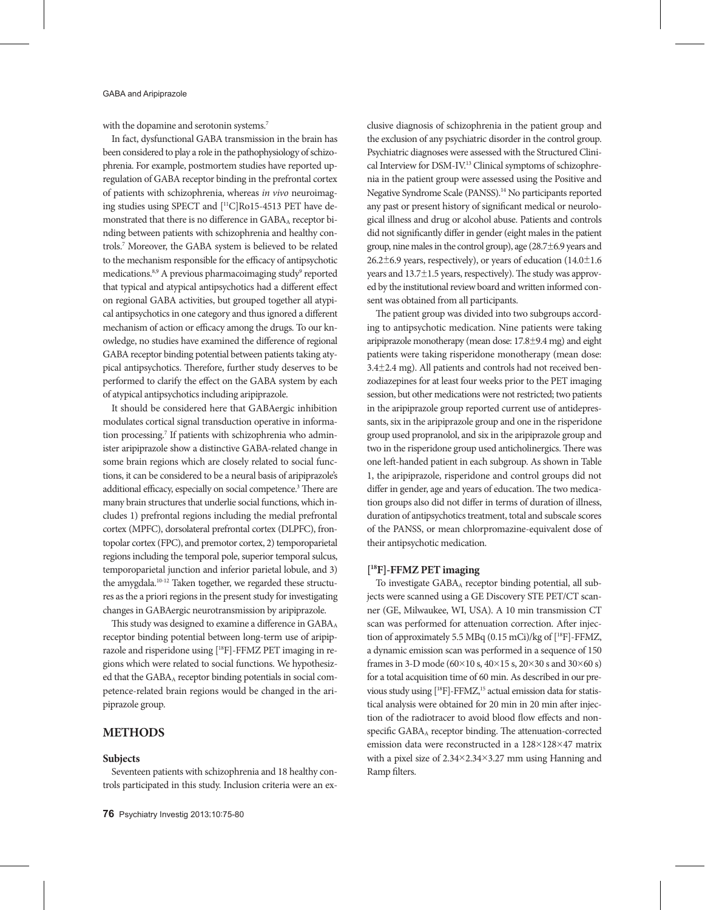with the dopamine and serotonin systems.<sup>7</sup>

In fact, dysfunctional GABA transmission in the brain has been considered to play a role in the pathophysiology of schizophrenia. For example, postmortem studies have reported upregulation of GABA receptor binding in the prefrontal cortex of patients with schizophrenia, whereas *in vivo* neuroimaging studies using SPECT and [11C]Ro15-4513 PET have demonstrated that there is no difference in GABAA receptor binding between patients with schizophrenia and healthy controls.7 Moreover, the GABA system is believed to be related to the mechanism responsible for the efficacy of antipsychotic medications. $8,9$  A previous pharmacoimaging study $9$  reported that typical and atypical antipsychotics had a different effect on regional GABA activities, but grouped together all atypical antipsychotics in one category and thus ignored a different mechanism of action or efficacy among the drugs. To our knowledge, no studies have examined the difference of regional GABA receptor binding potential between patients taking atypical antipsychotics. Therefore, further study deserves to be performed to clarify the effect on the GABA system by each of atypical antipsychotics including aripiprazole.

It should be considered here that GABAergic inhibition modulates cortical signal transduction operative in information processing.<sup>7</sup> If patients with schizophrenia who administer aripiprazole show a distinctive GABA-related change in some brain regions which are closely related to social functions, it can be considered to be a neural basis of aripiprazole's additional efficacy, especially on social competence.<sup>3</sup> There are many brain structures that underlie social functions, which includes 1) prefrontal regions including the medial prefrontal cortex (MPFC), dorsolateral prefrontal cortex (DLPFC), frontopolar cortex (FPC), and premotor cortex, 2) temporoparietal regions including the temporal pole, superior temporal sulcus, temporoparietal junction and inferior parietal lobule, and 3) the amygdala.<sup>10-12</sup> Taken together, we regarded these structures as the a priori regions in the present study for investigating changes in GABAergic neurotransmission by aripiprazole.

This study was designed to examine a difference in GABA<sub>A</sub> receptor binding potential between long-term use of aripiprazole and risperidone using [18F]-FFMZ PET imaging in regions which were related to social functions. We hypothesized that the GABAA receptor binding potentials in social competence-related brain regions would be changed in the aripiprazole group.

## **METHODS**

### **Subjects**

Seventeen patients with schizophrenia and 18 healthy controls participated in this study. Inclusion criteria were an exclusive diagnosis of schizophrenia in the patient group and the exclusion of any psychiatric disorder in the control group. Psychiatric diagnoses were assessed with the Structured Clinical Interview for DSM-IV.13 Clinical symptoms of schizophrenia in the patient group were assessed using the Positive and Negative Syndrome Scale (PANSS).14 No participants reported any past or present history of significant medical or neurological illness and drug or alcohol abuse. Patients and controls did not significantly differ in gender (eight males in the patient group, nine males in the control group), age (28.7±6.9 years and 26.2 $\pm$ 6.9 years, respectively), or years of education (14.0 $\pm$ 1.6 years and 13.7±1.5 years, respectively). The study was approved by the institutional review board and written informed consent was obtained from all participants.

The patient group was divided into two subgroups according to antipsychotic medication. Nine patients were taking aripiprazole monotherapy (mean dose: 17.8±9.4 mg) and eight patients were taking risperidone monotherapy (mean dose: 3.4±2.4 mg). All patients and controls had not received benzodiazepines for at least four weeks prior to the PET imaging session, but other medications were not restricted; two patients in the aripiprazole group reported current use of antidepressants, six in the aripiprazole group and one in the risperidone group used propranolol, and six in the aripiprazole group and two in the risperidone group used anticholinergics. There was one left-handed patient in each subgroup. As shown in Table 1, the aripiprazole, risperidone and control groups did not differ in gender, age and years of education. The two medication groups also did not differ in terms of duration of illness, duration of antipsychotics treatment, total and subscale scores of the PANSS, or mean chlorpromazine-equivalent dose of their antipsychotic medication.

## **[ 18F]-FFMZ PET imaging**

To investigate GABAA receptor binding potential, all subjects were scanned using a GE Discovery STE PET/CT scanner (GE, Milwaukee, WI, USA). A 10 min transmission CT scan was performed for attenuation correction. After injection of approximately 5.5 MBq (0.15 mCi)/kg of [18F]-FFMZ, a dynamic emission scan was performed in a sequence of 150 frames in 3-D mode (60×10 s, 40×15 s, 20×30 s and 30×60 s) for a total acquisition time of 60 min. As described in our previous study using [<sup>18</sup>F]-FFMZ,<sup>15</sup> actual emission data for statistical analysis were obtained for 20 min in 20 min after injection of the radiotracer to avoid blood flow effects and nonspecific GABAA receptor binding. The attenuation-corrected emission data were reconstructed in a 128×128×47 matrix with a pixel size of 2.34×2.34×3.27 mm using Hanning and Ramp filters.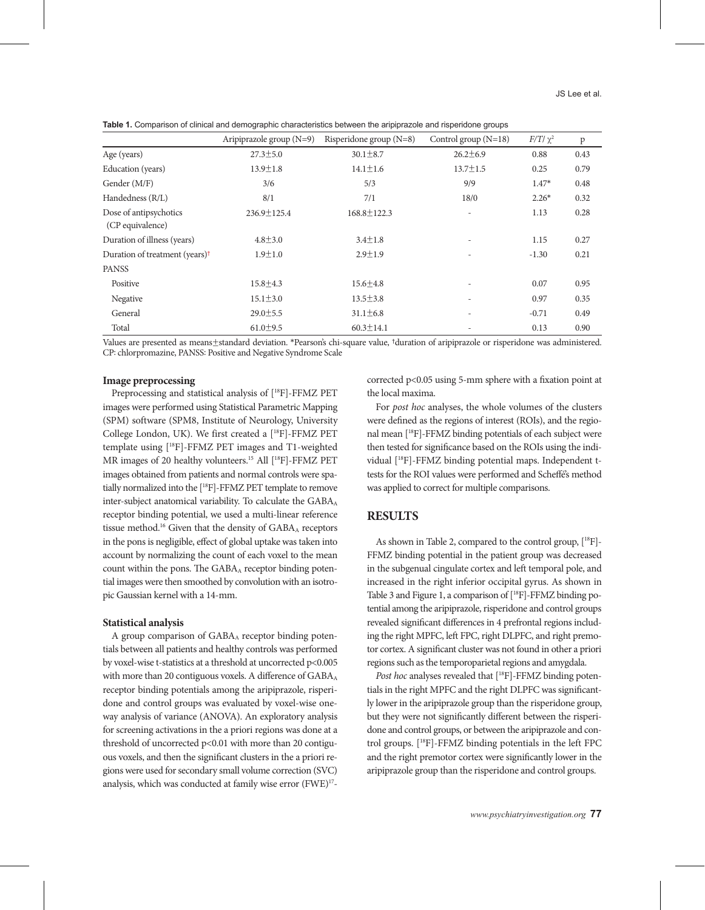**Table 1.** Comparison of clinical and demographic characteristics between the aripiprazole and risperidone groups

|                                            | Aripiprazole group $(N=9)$ | Risperidone group $(N=8)$ | Control group $(N=18)$   | $F/T/\chi^2$ | $\mathbf{p}$ |
|--------------------------------------------|----------------------------|---------------------------|--------------------------|--------------|--------------|
| Age (years)                                | $27.3 \pm 5.0$             | $30.1 \pm 8.7$            | $26.2 \pm 6.9$           | 0.88         | 0.43         |
| Education (years)                          | $13.9 \pm 1.8$             | $14.1 \pm 1.6$            | $13.7 \pm 1.5$           | 0.25         | 0.79         |
| Gender (M/F)                               | 3/6                        | 5/3                       | 9/9                      | $1.47*$      | 0.48         |
| Handedness (R/L)                           | 8/1                        | 7/1                       | 18/0                     | $2.26*$      | 0.32         |
| Dose of antipsychotics<br>(CP equivalence) | $236.9 \pm 125.4$          | $168.8 \pm 122.3$         |                          | 1.13         | 0.28         |
| Duration of illness (years)                | $4.8 \pm 3.0$              | $3.4 \pm 1.8$             | $\overline{\phantom{a}}$ | 1.15         | 0.27         |
| Duration of treatment (years) <sup>†</sup> | $1.9 \pm 1.0$              | $2.9 \pm 1.9$             |                          | $-1.30$      | 0.21         |
| <b>PANSS</b>                               |                            |                           |                          |              |              |
| Positive                                   | $15.8 \pm 4.3$             | $15.6 \pm 4.8$            | $\overline{\phantom{a}}$ | 0.07         | 0.95         |
| Negative                                   | $15.1 \pm 3.0$             | $13.5 \pm 3.8$            |                          | 0.97         | 0.35         |
| General                                    | $29.0 \pm 5.5$             | $31.1 \pm 6.8$            | $\overline{\phantom{a}}$ | $-0.71$      | 0.49         |
| Total                                      | $61.0 \pm 9.5$             | $60.3 \pm 14.1$           |                          | 0.13         | 0.90         |

Values are presented as means±standard deviation. \*Pearson's chi-square value, †duration of aripiprazole or risperidone was administered. CP: chlorpromazine, PANSS: Positive and Negative Syndrome Scale

#### **Image preprocessing**

Preprocessing and statistical analysis of [18F]-FFMZ PET images were performed using Statistical Parametric Mapping (SPM) software (SPM8, Institute of Neurology, University College London, UK). We first created a [18F]-FFMZ PET template using [18F]-FFMZ PET images and T1-weighted MR images of 20 healthy volunteers.<sup>15</sup> All [<sup>18</sup>F]-FFMZ PET images obtained from patients and normal controls were spatially normalized into the [18F]-FFMZ PET template to remove inter-subject anatomical variability. To calculate the GABAA receptor binding potential, we used a multi-linear reference tissue method.<sup>16</sup> Given that the density of GABA<sub>A</sub> receptors in the pons is negligible, effect of global uptake was taken into account by normalizing the count of each voxel to the mean count within the pons. The GABA<sub>A</sub> receptor binding potential images were then smoothed by convolution with an isotropic Gaussian kernel with a 14-mm.

#### **Statistical analysis**

A group comparison of  $GABA_A$  receptor binding potentials between all patients and healthy controls was performed by voxel-wise t-statistics at a threshold at uncorrected p<0.005 with more than 20 contiguous voxels. A difference of GABA<sub>A</sub> receptor binding potentials among the aripiprazole, risperidone and control groups was evaluated by voxel-wise oneway analysis of variance (ANOVA). An exploratory analysis for screening activations in the a priori regions was done at a threshold of uncorrected p<0.01 with more than 20 contiguous voxels, and then the significant clusters in the a priori regions were used for secondary small volume correction (SVC) analysis, which was conducted at family wise error (FWE)<sup>17</sup>-

corrected p<0.05 using 5-mm sphere with a fixation point at the local maxima.

For *post hoc* analyses, the whole volumes of the clusters were defined as the regions of interest (ROIs), and the regional mean [18F]-FFMZ binding potentials of each subject were then tested for significance based on the ROIs using the individual [18F]-FFMZ binding potential maps. Independent ttests for the ROI values were performed and Scheffé's method was applied to correct for multiple comparisons.

## **RESULTS**

As shown in Table 2, compared to the control group,  $[^{18}F]$ -FFMZ binding potential in the patient group was decreased in the subgenual cingulate cortex and left temporal pole, and increased in the right inferior occipital gyrus. As shown in Table 3 and Figure 1, a comparison of [<sup>18</sup>F]-FFMZ binding potential among the aripiprazole, risperidone and control groups revealed significant differences in 4 prefrontal regions including the right MPFC, left FPC, right DLPFC, and right premotor cortex. A significant cluster was not found in other a priori regions such as the temporoparietal regions and amygdala.

*Post hoc* analyses revealed that [<sup>18</sup>F]-FFMZ binding potentials in the right MPFC and the right DLPFC was significantly lower in the aripiprazole group than the risperidone group, but they were not significantly different between the risperidone and control groups, or between the aripiprazole and control groups. [18F]-FFMZ binding potentials in the left FPC and the right premotor cortex were significantly lower in the aripiprazole group than the risperidone and control groups.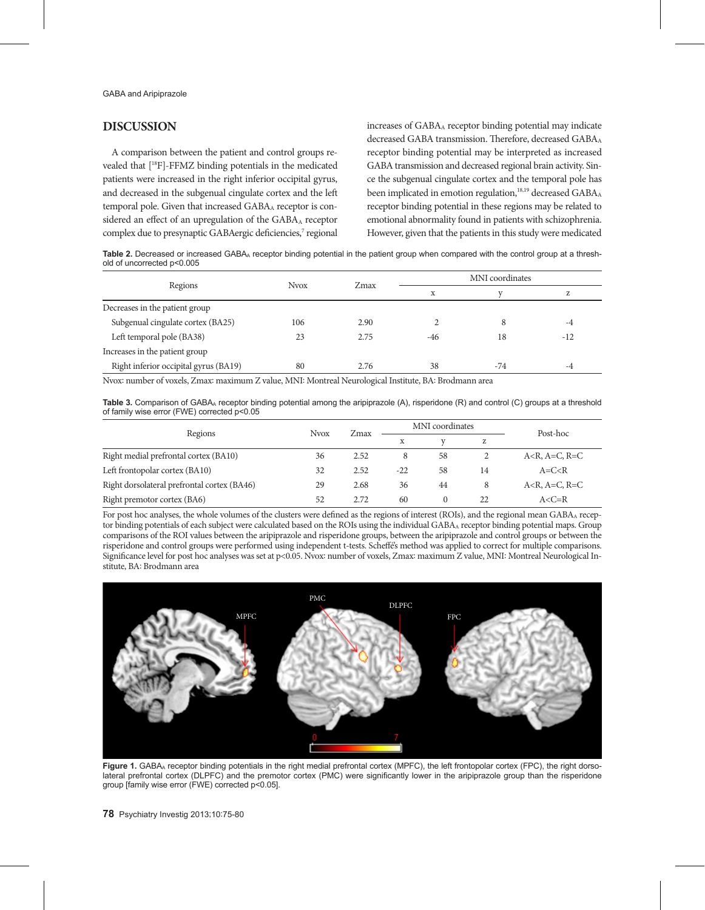## **DISCUSSION**

A comparison between the patient and control groups revealed that [18F]-FFMZ binding potentials in the medicated patients were increased in the right inferior occipital gyrus, and decreased in the subgenual cingulate cortex and the left temporal pole. Given that increased GABAA receptor is considered an effect of an upregulation of the GABAA receptor complex due to presynaptic GABAergic deficiencies,<sup>7</sup> regional increases of GABA<sub>A</sub> receptor binding potential may indicate decreased GABA transmission. Therefore, decreased GABA A receptor binding potential may be interpreted as increased GABA transmission and decreased regional brain activity. Since the subgenual cingulate cortex and the temporal pole has been implicated in emotion regulation,<sup>18,19</sup> decreased GABA<sub>A</sub> receptor binding potential in these regions may be related to emotional abnormality found in patients with schizophrenia. However, given that the patients in this study were medicated

Table 2. Decreased or increased GABA<sub>A</sub> receptor binding potential in the patient group when compared with the control group at a threshold of uncorrected p<0.005

|                                       | <b>Nvox</b> | Zmax | MNI coordinates |       |       |  |
|---------------------------------------|-------------|------|-----------------|-------|-------|--|
| Regions                               |             |      | X               |       | Z     |  |
| Decreases in the patient group        |             |      |                 |       |       |  |
| Subgenual cingulate cortex (BA25)     | 106         | 2.90 |                 | 8     | $-4$  |  |
| Left temporal pole (BA38)             | 23          | 2.75 | -46             | 18    | $-12$ |  |
| Increases in the patient group        |             |      |                 |       |       |  |
| Right inferior occipital gyrus (BA19) | 80          | 2.76 | 38              | $-74$ | -4    |  |

Nvox: number of voxels, Zmax: maximum Z value, MNI: Montreal Neurological Institute, BA: Brodmann area

Table 3. Comparison of GABA<sub>A</sub> receptor binding potential among the aripiprazole (A), risperidone (R) and control (C) groups at a threshold of family wise error (FWE) corrected p<0.05

| Regions                                     | <b>Nvox</b> | Zmax | MNI coordinates |          |    | Post-hoc                    |
|---------------------------------------------|-------------|------|-----------------|----------|----|-----------------------------|
|                                             |             |      |                 |          | z  |                             |
| Right medial prefrontal cortex (BA10)       | 36          | 2.52 | 8               | 58       |    | $A < R$ , $A = C$ , $R = C$ |
| Left frontopolar cortex (BA10)              | 32          | 2.52 | $-22$           | 58       | 14 | $A=C < R$                   |
| Right dorsolateral prefrontal cortex (BA46) | 29          | 2.68 | 36              | 44       | 8  | $A < R$ , $A = C$ , $R = C$ |
| Right premotor cortex (BA6)                 | 52          | 2.72 | 60              | $\Omega$ | 22 | $A < C = R$                 |

For post hoc analyses, the whole volumes of the clusters were defined as the regions of interest (ROIs), and the regional mean GABAA receptor binding potentials of each subject were calculated based on the ROIs using the individual GABAA receptor binding potential maps. Group comparisons of the ROI values between the aripiprazole and risperidone groups, between the aripiprazole and control groups or between the risperidone and control groups were performed using independent t-tests. Scheffé's method was applied to correct for multiple comparisons. Significance level for post hoc analyses was set at p<0.05. Nvox: number of voxels, Zmax: maximum Z value, MNI: Montreal Neurological Institute, BA: Brodmann area



Figure 1. GABA<sub>A</sub> receptor binding potentials in the right medial prefrontal cortex (MPFC), the left frontopolar cortex (FPC), the right dorsolateral prefrontal cortex (DLPFC) and the premotor cortex (PMC) were significantly lower in the aripiprazole group than the risperidone group [family wise error (FWE) corrected p<0.05].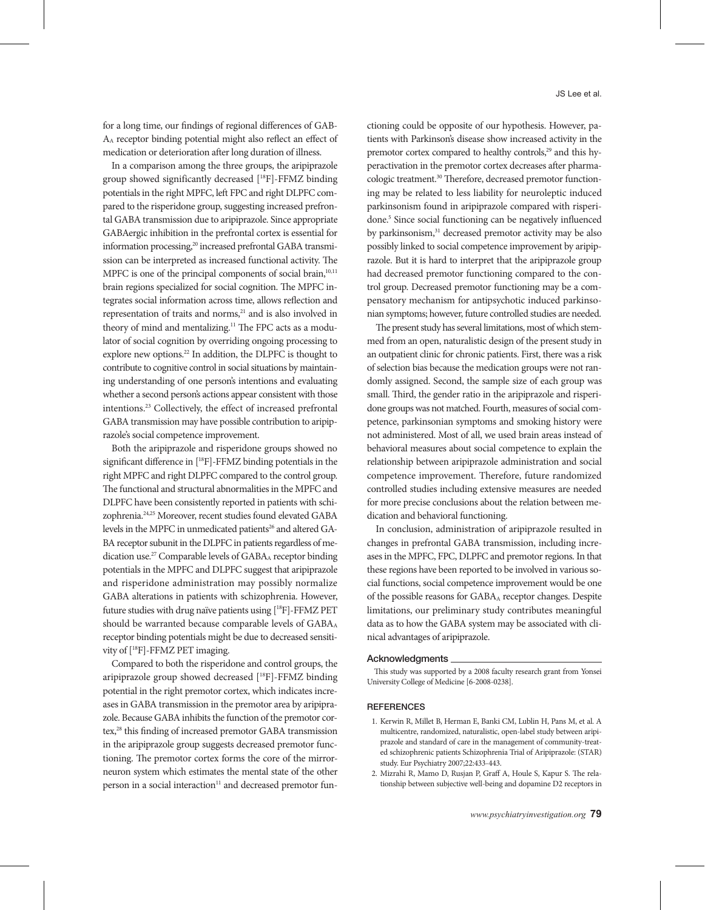for a long time, our findings of regional differences of GAB-AA receptor binding potential might also reflect an effect of medication or deterioration after long duration of illness.

In a comparison among the three groups, the aripiprazole group showed significantly decreased [18F]-FFMZ binding potentials in the right MPFC, left FPC and right DLPFC compared to the risperidone group, suggesting increased prefrontal GABA transmission due to aripiprazole. Since appropriate GABAergic inhibition in the prefrontal cortex is essential for information processing,<sup>20</sup> increased prefrontal GABA transmission can be interpreted as increased functional activity. The MPFC is one of the principal components of social brain, $10,11$ brain regions specialized for social cognition. The MPFC integrates social information across time, allows reflection and representation of traits and norms,<sup>21</sup> and is also involved in theory of mind and mentalizing.<sup>11</sup> The FPC acts as a modulator of social cognition by overriding ongoing processing to explore new options.<sup>22</sup> In addition, the DLPFC is thought to contribute to cognitive control in social situations by maintaining understanding of one person's intentions and evaluating whether a second person's actions appear consistent with those intentions.23 Collectively, the effect of increased prefrontal GABA transmission may have possible contribution to aripiprazole's social competence improvement.

Both the aripiprazole and risperidone groups showed no significant difference in [18F]-FFMZ binding potentials in the right MPFC and right DLPFC compared to the control group. The functional and structural abnormalities in the MPFC and DLPFC have been consistently reported in patients with schizophrenia.24,25 Moreover, recent studies found elevated GABA levels in the MPFC in unmedicated patients<sup>26</sup> and altered GA-BA receptor subunit in the DLPFC in patients regardless of medication use.<sup>27</sup> Comparable levels of GABA<sub>A</sub> receptor binding potentials in the MPFC and DLPFC suggest that aripiprazole and risperidone administration may possibly normalize GABA alterations in patients with schizophrenia. However, future studies with drug naïve patients using [18F]-FFMZ PET should be warranted because comparable levels of  $GABA_A$ receptor binding potentials might be due to decreased sensitivity of [18F]-FFMZ PET imaging.

Compared to both the risperidone and control groups, the aripiprazole group showed decreased [18F]-FFMZ binding potential in the right premotor cortex, which indicates increases in GABA transmission in the premotor area by aripiprazole. Because GABA inhibits the function of the premotor cortex,<sup>28</sup> this finding of increased premotor GABA transmission in the aripiprazole group suggests decreased premotor functioning. The premotor cortex forms the core of the mirrorneuron system which estimates the mental state of the other person in a social interaction<sup>11</sup> and decreased premotor functioning could be opposite of our hypothesis. However, patients with Parkinson's disease show increased activity in the premotor cortex compared to healthy controls,<sup>29</sup> and this hyperactivation in the premotor cortex decreases after pharmacologic treatment.<sup>30</sup> Therefore, decreased premotor functioning may be related to less liability for neuroleptic induced parkinsonism found in aripiprazole compared with risperidone.<sup>5</sup> Since social functioning can be negatively influenced by parkinsonism,<sup>31</sup> decreased premotor activity may be also possibly linked to social competence improvement by aripiprazole. But it is hard to interpret that the aripiprazole group had decreased premotor functioning compared to the control group. Decreased premotor functioning may be a compensatory mechanism for antipsychotic induced parkinsonian symptoms; however, future controlled studies are needed.

The present study has several limitations, most of which stemmed from an open, naturalistic design of the present study in an outpatient clinic for chronic patients. First, there was a risk of selection bias because the medication groups were not randomly assigned. Second, the sample size of each group was small. Third, the gender ratio in the aripiprazole and risperidone groups was not matched. Fourth, measures of social competence, parkinsonian symptoms and smoking history were not administered. Most of all, we used brain areas instead of behavioral measures about social competence to explain the relationship between aripiprazole administration and social competence improvement. Therefore, future randomized controlled studies including extensive measures are needed for more precise conclusions about the relation between medication and behavioral functioning.

In conclusion, administration of aripiprazole resulted in changes in prefrontal GABA transmission, including increases in the MPFC, FPC, DLPFC and premotor regions. In that these regions have been reported to be involved in various social functions, social competence improvement would be one of the possible reasons for GABAA receptor changes. Despite limitations, our preliminary study contributes meaningful data as to how the GABA system may be associated with clinical advantages of aripiprazole.

#### Acknowledgments

This study was supported by a 2008 faculty research grant from Yonsei University College of Medicine [6-2008-0238].

#### **REFERENCES**

- 1. Kerwin R, Millet B, Herman E, Banki CM, Lublin H, Pans M, et al. A multicentre, randomized, naturalistic, open-label study between aripiprazole and standard of care in the management of community-treated schizophrenic patients Schizophrenia Trial of Aripiprazole: (STAR) study. Eur Psychiatry 2007;22:433-443.
- 2. Mizrahi R, Mamo D, Rusjan P, Graff A, Houle S, Kapur S. The relationship between subjective well-being and dopamine D2 receptors in